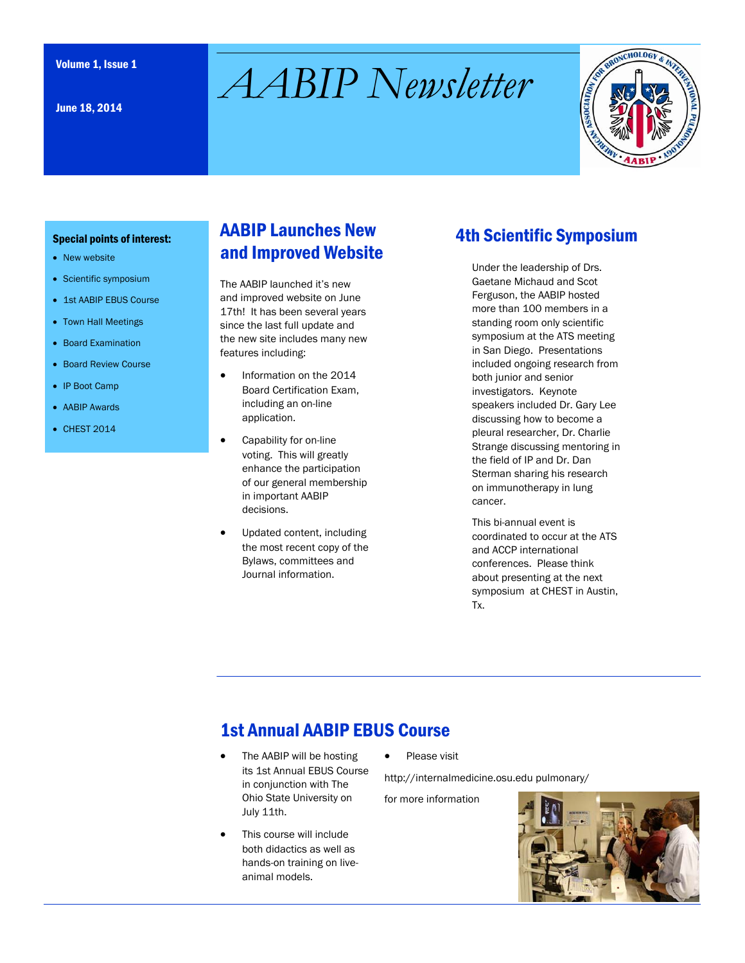June 18, 2014

# Volume 1, Issue 1 *AABIP Newsletter*



#### Special points of interest:

- New website
- Scientific symposium
- 1st AABIP EBUS Course
- Town Hall Meetings
- Board Examination
- Board Review Course
- IP Boot Camp
- AABIP Awards
- CHEST 2014

## AABIP Launches New and Improved Website

The AABIP launched it's new and improved website on June 17th! It has been several years since the last full update and the new site includes many new features including:

- Information on the 2014 Board Certification Exam, including an on-line application.
- Capability for on-line voting. This will greatly enhance the participation of our general membership in important AABIP decisions.
- Updated content, including the most recent copy of the Bylaws, committees and Journal information.

## 4th Scientific Symposium

Under the leadership of Drs. Gaetane Michaud and Scot Ferguson, the AABIP hosted more than 100 members in a standing room only scientific symposium at the ATS meeting in San Diego. Presentations included ongoing research from both junior and senior investigators. Keynote speakers included Dr. Gary Lee discussing how to become a pleural researcher, Dr. Charlie Strange discussing mentoring in the field of IP and Dr. Dan Sterman sharing his research on immunotherapy in lung cancer.

This bi-annual event is coordinated to occur at the ATS and ACCP international conferences. Please think about presenting at the next symposium at CHEST in Austin, Tx.

# 1st Annual AABIP EBUS Course

- The AABIP will be hosting its 1st Annual EBUS Course in conjunction with The Ohio State University on July 11th.
- This course will include both didactics as well as hands-on training on liveanimal models.

Please visit

http://internalmedicine.osu.edu pulmonary/

for more information

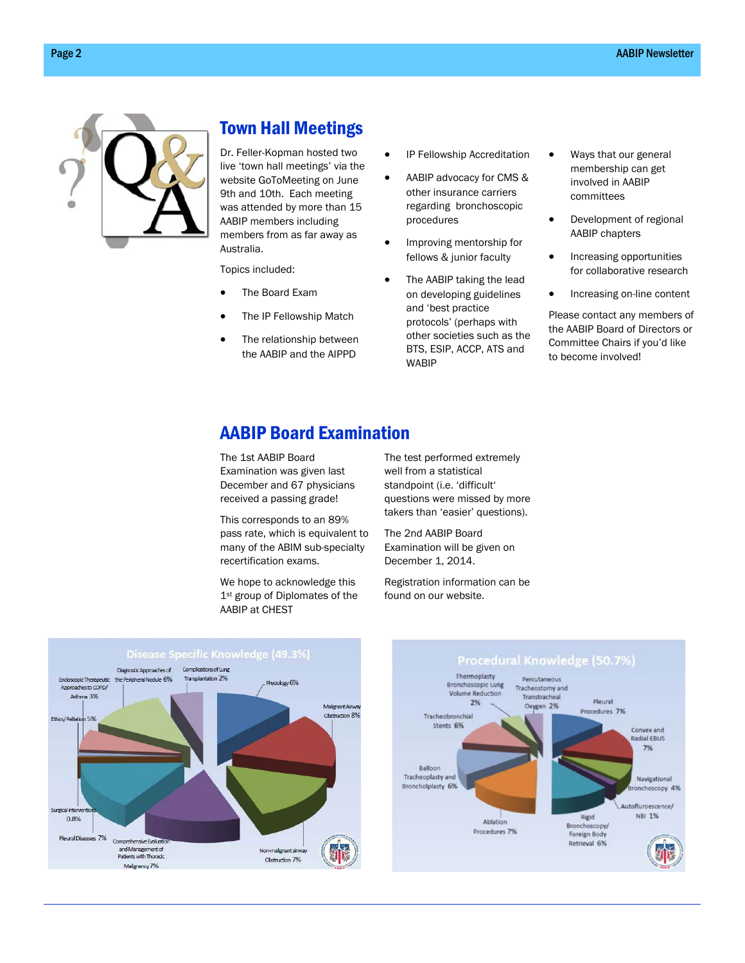

## Town Hall Meetings

Dr. Feller-Kopman hosted two live 'town hall meetings' via the website GoToMeeting on June 9th and 10th. Each meeting was attended by more than 15 AABIP members including members from as far away as Australia.

Topics included:

- The Board Exam
- The IP Fellowship Match
- The relationship between the AABIP and the AIPPD
- IP Fellowship Accreditation
- AABIP advocacy for CMS & other insurance carriers regarding bronchoscopic procedures
- Improving mentorship for fellows & junior faculty
- The AABIP taking the lead on developing guidelines and 'best practice protocols' (perhaps with other societies such as the BTS, ESIP, ACCP, ATS and WABIP
- Ways that our general membership can get involved in AABIP committees
- Development of regional AABIP chapters
- Increasing opportunities for collaborative research
- Increasing on-line content

Please contact any members of the AABIP Board of Directors or Committee Chairs if you'd like to become involved!

#### AABIP Board Examination

The 1st AABIP Board Examination was given last December and 67 physicians received a passing grade!

This corresponds to an 89% pass rate, which is equivalent to many of the ABIM sub-specialty recertification exams.

We hope to acknowledge this 1st group of Diplomates of the AABIP at CHEST

The test performed extremely well from a statistical standpoint (i.e. 'difficult' questions were missed by more takers than 'easier' questions).

The 2nd AABIP Board Examination will be given on December 1, 2014.

Registration information can be found on our website.



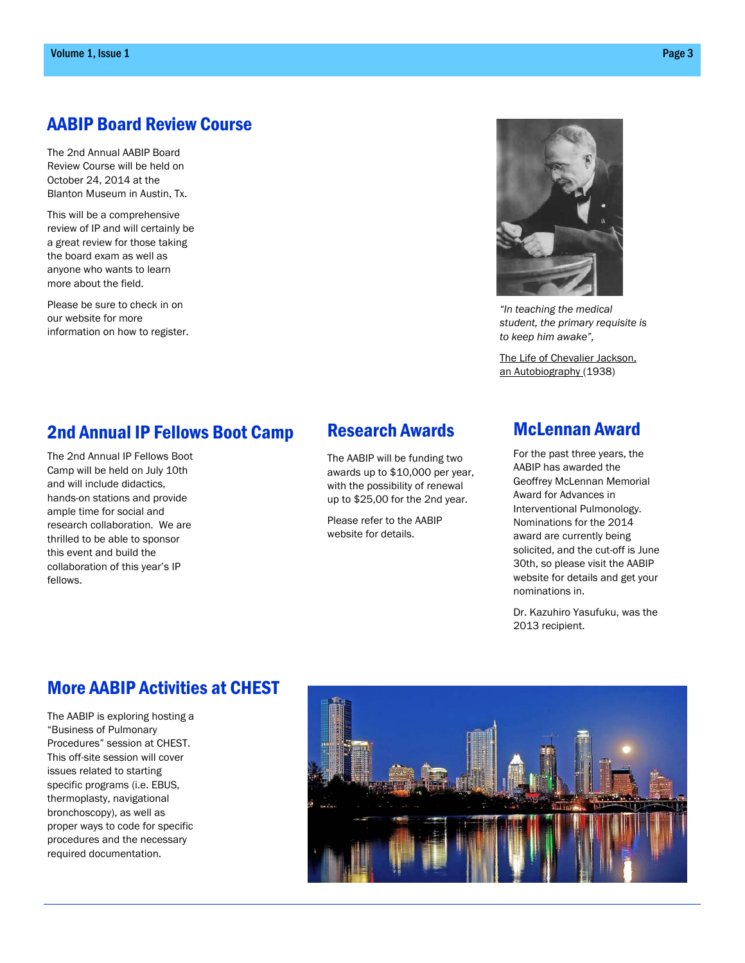## AABIP Board Review Course

The 2nd Annual AABIP Board Review Course will be held on October 24, 2014 at the Blanton Museum in Austin, Tx.

This will be a comprehensive review of IP and will certainly be a great review for those taking the board exam as well as anyone who wants to learn more about the field.

Please be sure to check in on our website for more information on how to register.



*"In teaching the medical student, the primary requisite is to keep him awake",* 

The Life of Chevalier Jackson, an Autobiography (1938)

#### 2nd Annual IP Fellows Boot Camp

The 2nd Annual IP Fellows Boot Camp will be held on July 10th and will include didactics, hands-on stations and provide ample time for social and research collaboration. We are thrilled to be able to sponsor this event and build the collaboration of this year's IP fellows.

#### Research Awards

The AABIP will be funding two awards up to \$10,000 per year, with the possibility of renewal up to \$25,00 for the 2nd year.

Please refer to the AABIP website for details.

#### McLennan Award

For the past three years, the AABIP has awarded the Geoffrey McLennan Memorial Award for Advances in Interventional Pulmonology. Nominations for the 2014 award are currently being solicited, and the cut-off is June 30th, so please visit the AABIP website for details and get your nominations in.

Dr. Kazuhiro Yasufuku, was the 2013 recipient.

#### More AABIP Activities at CHEST

The AABIP is exploring hosting a "Business of Pulmonary Procedures" session at CHEST. This off-site session will cover issues related to starting specific programs (i.e. EBUS, thermoplasty, navigational bronchoscopy), as well as proper ways to code for specific procedures and the necessary required documentation.